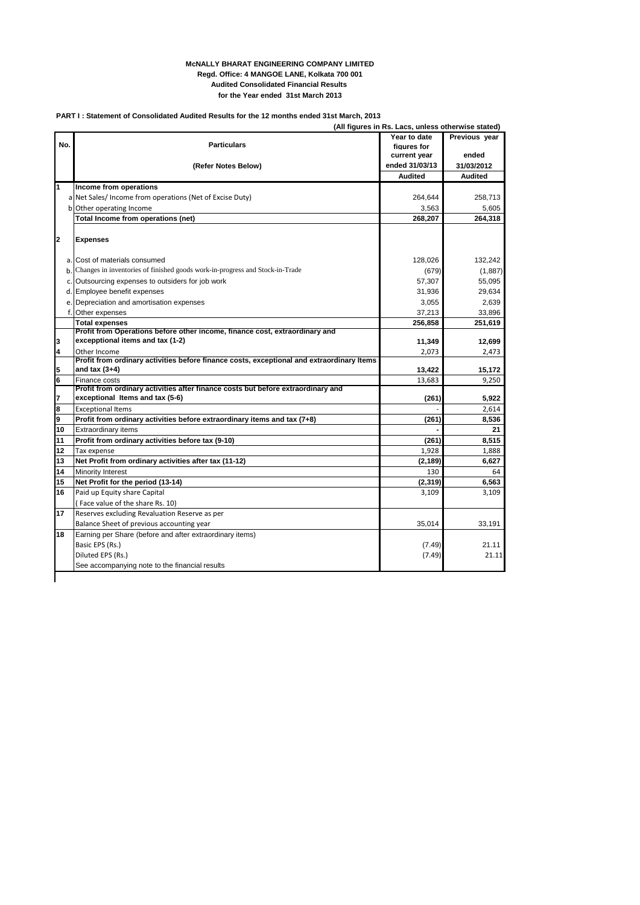## **McNALLY BHARAT ENGINEERING COMPANY LIMITED Regd. Office: 4 MANGOE LANE, Kolkata 700 001 Audited Consolidated Financial Results for the Year ended 31st March 2013**

## **PART I : Statement of Consolidated Audited Results for the 12 months ended 31st March, 2013**

**(All figures in Rs. Lacs, unless otherwise stated)**

| No.          | <b>Particulars</b>                                                                                        | Year to date<br>figures for<br>current year | Previous year<br>ended |
|--------------|-----------------------------------------------------------------------------------------------------------|---------------------------------------------|------------------------|
|              | (Refer Notes Below)                                                                                       | ended 31/03/13                              | 31/03/2012             |
|              |                                                                                                           | <b>Audited</b>                              | <b>Audited</b>         |
| 1            | Income from operations                                                                                    |                                             |                        |
|              | a Net Sales/ Income from operations (Net of Excise Duty)                                                  | 264,644                                     | 258,713                |
|              | b Other operating Income                                                                                  | 3,563                                       | 5,605                  |
|              | Total Income from operations (net)                                                                        | 268,207                                     | 264,318                |
| $\mathbf{2}$ | <b>Expenses</b>                                                                                           |                                             |                        |
|              | a. Cost of materials consumed                                                                             | 128,026                                     | 132,242                |
| b.           | Changes in inventories of finished goods work-in-progress and Stock-in-Trade                              | (679)                                       | (1,887)                |
|              | c. Outsourcing expenses to outsiders for job work                                                         | 57,307                                      | 55,095                 |
|              | d. Employee benefit expenses                                                                              | 31,936                                      | 29,634                 |
|              | e. Depreciation and amortisation expenses                                                                 | 3.055                                       | 2,639                  |
|              | f. Other expenses                                                                                         | 37,213                                      | 33,896                 |
|              | <b>Total expenses</b>                                                                                     | 256,858                                     | 251,619                |
|              | Profit from Operations before other income, finance cost, extraordinary and                               |                                             |                        |
| 3            | excepptional items and tax (1-2)                                                                          | 11,349                                      | 12,699                 |
| 4            | Other Income<br>Profit from ordinary activities before finance costs, exceptional and extraordinary Items | 2,073                                       | 2,473                  |
| 5            | and tax $(3+4)$                                                                                           | 13,422                                      | 15,172                 |
| 6            | Finance costs                                                                                             | 13,683                                      | 9,250                  |
|              | Profit from ordinary activities after finance costs but before extraordinary and                          |                                             |                        |
| 7            | exceptional Items and tax (5-6)                                                                           | (261)                                       | 5.922                  |
| 8            | <b>Exceptional Items</b>                                                                                  |                                             | 2,614                  |
| 9            | Profit from ordinary activities before extraordinary items and tax (7+8)                                  | (261)                                       | 8,536                  |
| 10           | <b>Extraordinary items</b>                                                                                |                                             | 21                     |
| 11           | Profit from ordinary activities before tax (9-10)                                                         | (261)                                       | 8,515                  |
| 12           | Tax expense                                                                                               | 1,928                                       | 1.888                  |
| 13           | Net Profit from ordinary activities after tax (11-12)                                                     | (2, 189)                                    | 6,627                  |
| 14           | Minority Interest                                                                                         | 130                                         | 64                     |
| 15           | Net Profit for the period (13-14)                                                                         | (2,319)                                     | 6,563                  |
| 16           | Paid up Equity share Capital                                                                              | 3,109                                       | 3,109                  |
|              | (Face value of the share Rs. 10)                                                                          |                                             |                        |
| 17           | Reserves excluding Revaluation Reserve as per                                                             |                                             |                        |
|              | Balance Sheet of previous accounting year                                                                 | 35,014                                      | 33,191                 |
| 18           | Earning per Share (before and after extraordinary items)                                                  |                                             |                        |
|              | Basic EPS (Rs.)                                                                                           | (7.49)                                      | 21.11                  |
|              | Diluted EPS (Rs.)                                                                                         | (7.49)                                      | 21.11                  |
|              | See accompanying note to the financial results                                                            |                                             |                        |
|              |                                                                                                           |                                             |                        |